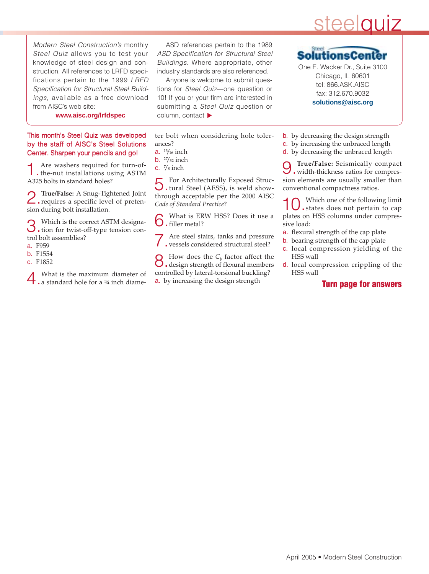# steelquiz

Modern Steel Construction's monthly Steel Quiz allows you to test your knowledge of steel design and construction. All references to LRFD specifications pertain to the 1999 LRFD Specification for Structural Steel Buildings, available as a free download from AISC's web site:

ASD references pertain to the 1989 ASD Specification for Structural Steel Buildings. Where appropriate, other industry standards are also referenced.

Anyone is welcome to submit questions for Steel Quiz—one question or 10! If you or your firm are interested in submitting a Steel Quiz question or column, contact

**www.aisc.org/lrfdspec**

#### This month's Steel Quiz was developed by the staff of AISC's Steel Solutions Center. Sharpen your pencils and go!

1.Are washers required for turn-of-the-nut installations using ASTM A325 bolts in standard holes?

2.**True/False:** A Snug-Tightened Joint requires a specific level of pretension during bolt installation.

3.Which is the correct ASTM designa-tion for twist-off-type tension control bolt assemblies?

- a. F959
- b. F1554
- c. F1852

4. What is the maximum diameter of **4** a standard hole for a <sup>3</sup>4 inch diame-

ter bolt when considering hole tolerances?

- a.  $\frac{13}{16}$  inch
- **b.**  $27/32$  inch
- c.  $\frac{7}{8}$  inch

5.For Architecturally Exposed Struc-tural Steel (AESS), is weld showthrough acceptable per the 2000 AISC *Code of Standard Practice*?

6.What is ERW HSS? Does it use a **O**. filler metal?

Are steel stairs, tanks and pressure vessels considered structural steel?

How does the  $C_b$  factor affect the design strength of flexural members controlled by lateral-torsional buckling? a. by increasing the design strength

Steel SolutionsC One E. Wacker Dr., Suite 3100

Chicago, IL 60601 tel: 866.ASK.AISC fax: 312.670.9032 **solutions@aisc.org**

- b. by decreasing the design strength
- c. by increasing the unbraced length
- d. by decreasing the unbraced length

9.**True/False:** Seismically compact width-thickness ratios for compression elements are usually smaller than conventional compactness ratios.

Which one of the following limit states does not pertain to cap plates on HSS columns under compressive load:

- a. flexural strength of the cap plate
- b. bearing strength of the cap plate
- c. local compression yielding of the HSS wall
- d. local compression crippling of the HSS wall

#### **Turn page for answers**